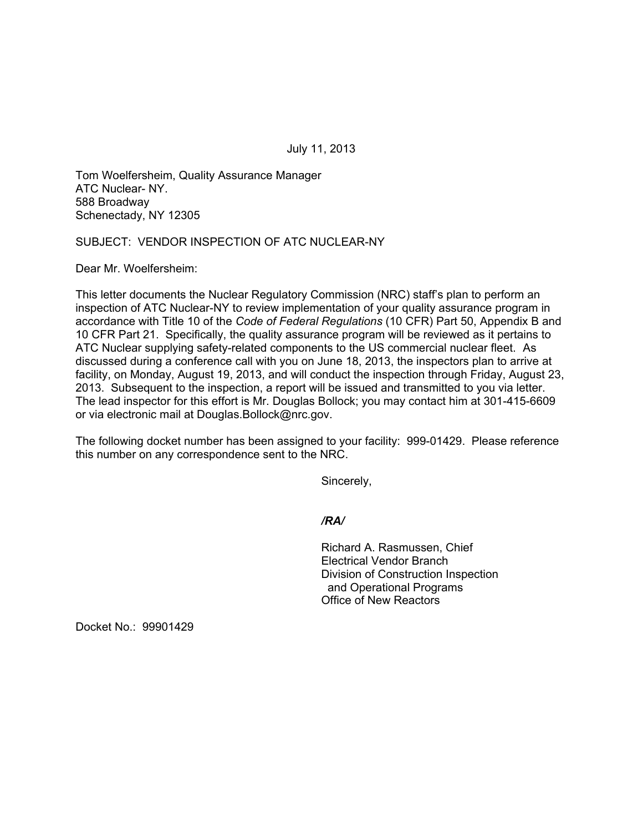July 11, 2013

Tom Woelfersheim, Quality Assurance Manager ATC Nuclear- NY. 588 Broadway Schenectady, NY 12305

# SUBJECT: VENDOR INSPECTION OF ATC NUCLEAR-NY

Dear Mr. Woelfersheim:

This letter documents the Nuclear Regulatory Commission (NRC) staff's plan to perform an inspection of ATC Nuclear-NY to review implementation of your quality assurance program in accordance with Title 10 of the *Code of Federal Regulations* (10 CFR) Part 50, Appendix B and 10 CFR Part 21. Specifically, the quality assurance program will be reviewed as it pertains to ATC Nuclear supplying safety-related components to the US commercial nuclear fleet. As discussed during a conference call with you on June 18, 2013, the inspectors plan to arrive at facility, on Monday, August 19, 2013, and will conduct the inspection through Friday, August 23, 2013. Subsequent to the inspection, a report will be issued and transmitted to you via letter. The lead inspector for this effort is Mr. Douglas Bollock; you may contact him at 301-415-6609 or via electronic mail at Douglas.Bollock@nrc.gov.

The following docket number has been assigned to your facility: 999-01429. Please reference this number on any correspondence sent to the NRC.

Sincerely,

*/RA/* 

Richard A. Rasmussen, Chief Electrical Vendor Branch Division of Construction Inspection and Operational Programs Office of New Reactors

Docket No.: 99901429